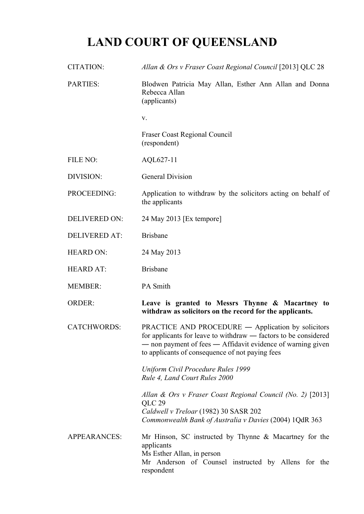## **LAND COURT OF QUEENSLAND**

| CITATION:            | Allan & Ors v Fraser Coast Regional Council [2013] QLC 28                                                                                                                                                                                      |
|----------------------|------------------------------------------------------------------------------------------------------------------------------------------------------------------------------------------------------------------------------------------------|
| <b>PARTIES:</b>      | Blodwen Patricia May Allan, Esther Ann Allan and Donna<br>Rebecca Allan<br>(applicants)                                                                                                                                                        |
|                      | V.                                                                                                                                                                                                                                             |
|                      | <b>Fraser Coast Regional Council</b><br>(respondent)                                                                                                                                                                                           |
| FILE NO:             | AQL627-11                                                                                                                                                                                                                                      |
| DIVISION:            | <b>General Division</b>                                                                                                                                                                                                                        |
| PROCEEDING:          | Application to withdraw by the solicitors acting on behalf of<br>the applicants                                                                                                                                                                |
| <b>DELIVERED ON:</b> | 24 May 2013 [Ex tempore]                                                                                                                                                                                                                       |
| <b>DELIVERED AT:</b> | <b>Brisbane</b>                                                                                                                                                                                                                                |
| <b>HEARD ON:</b>     | 24 May 2013                                                                                                                                                                                                                                    |
| <b>HEARD AT:</b>     | <b>Brisbane</b>                                                                                                                                                                                                                                |
| <b>MEMBER:</b>       | PA Smith                                                                                                                                                                                                                                       |
| <b>ORDER:</b>        | Leave is granted to Messrs Thynne & Macartney to<br>withdraw as solicitors on the record for the applicants.                                                                                                                                   |
| <b>CATCHWORDS:</b>   | <b>PRACTICE AND PROCEDURE — Application by solicitors</b><br>for applicants for leave to withdraw — factors to be considered<br>- non payment of fees - Affidavit evidence of warning given<br>to applicants of consequence of not paying fees |
|                      | Uniform Civil Procedure Rules 1999<br>Rule 4, Land Court Rules 2000                                                                                                                                                                            |
|                      | Allan & Ors v Fraser Coast Regional Council (No. 2) [2013]<br>QLC 29<br>Caldwell v Treloar (1982) 30 SASR 202<br>Commonwealth Bank of Australia v Davies (2004) 1QdR 363                                                                       |
| <b>APPEARANCES:</b>  | Mr Hinson, SC instructed by Thynne $\&$ Macartney for the<br>applicants<br>Ms Esther Allan, in person<br>Mr Anderson of Counsel instructed by Allens for the<br>respondent                                                                     |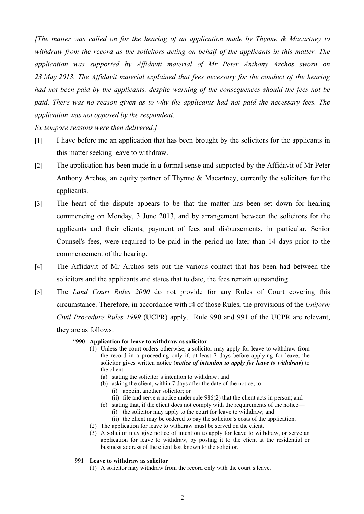*[The matter was called on for the hearing of an application made by Thynne & Macartney to withdraw from the record as the solicitors acting on behalf of the applicants in this matter. The application was supported by Affidavit material of Mr Peter Anthony Archos sworn on 23 May 2013. The Affidavit material explained that fees necessary for the conduct of the hearing had not been paid by the applicants, despite warning of the consequences should the fees not be paid. There was no reason given as to why the applicants had not paid the necessary fees. The application was not opposed by the respondent.*

*Ex tempore reasons were then delivered.]*

- [1] I have before me an application that has been brought by the solicitors for the applicants in this matter seeking leave to withdraw.
- [2] The application has been made in a formal sense and supported by the Affidavit of Mr Peter Anthony Archos, an equity partner of Thynne & Macartney, currently the solicitors for the applicants.
- [3] The heart of the dispute appears to be that the matter has been set down for hearing commencing on Monday, 3 June 2013, and by arrangement between the solicitors for the applicants and their clients, payment of fees and disbursements, in particular, Senior Counsel's fees, were required to be paid in the period no later than 14 days prior to the commencement of the hearing.
- [4] The Affidavit of Mr Archos sets out the various contact that has been had between the solicitors and the applicants and states that to date, the fees remain outstanding.
- [5] The *Land Court Rules 2000* do not provide for any Rules of Court covering this circumstance. Therefore, in accordance with r4 of those Rules, the provisions of the *Uniform Civil Procedure Rules 1999* (UCPR) apply. Rule 990 and 991 of the UCPR are relevant, they are as follows:
	- "**990 Application for leave to withdraw as solicitor**
		- (1) Unless the court orders otherwise, a solicitor may apply for leave to withdraw from the record in a proceeding only if, at least 7 days before applying for leave, the solicitor gives written notice (*notice of intention to apply for leave to withdraw*) to the client—
			- (a) stating the solicitor's intention to withdraw; and
			- (b) asking the client, within 7 days after the date of the notice, to— (i) appoint another solicitor; or
				- (ii) file and serve a notice under rule 986(2) that the client acts in person; and
			- (c) stating that, if the client does not comply with the requirements of the notice— (i) the solicitor may apply to the court for leave to withdraw; and
				- (ii) the client may be ordered to pay the solicitor's costs of the application.
		- (2) The application for leave to withdraw must be served on the client.
		- (3) A solicitor may give notice of intention to apply for leave to withdraw, or serve an application for leave to withdraw, by posting it to the client at the residential or business address of the client last known to the solicitor.

## **991 Leave to withdraw as solicitor**

(1) A solicitor may withdraw from the record only with the court's leave.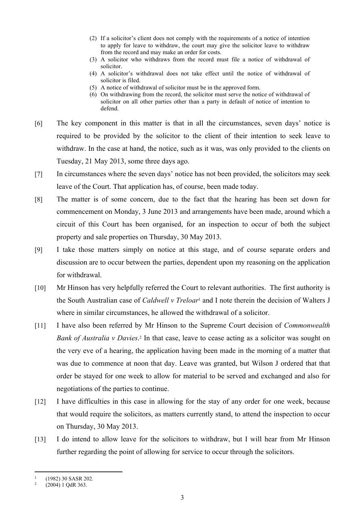- (2) If a solicitor's client does not comply with the requirements of a notice of intention to apply for leave to withdraw, the court may give the solicitor leave to withdraw from the record and may make an order for costs.
- (3) A solicitor who withdraws from the record must file a notice of withdrawal of solicitor.
- (4) A solicitor's withdrawal does not take effect until the notice of withdrawal of solicitor is filed.
- (5) A notice of withdrawal of solicitor must be in the approved form.
- (6) On withdrawing from the record, the solicitor must serve the notice of withdrawal of solicitor on all other parties other than a party in default of notice of intention to defend.
- [6] The key component in this matter is that in all the circumstances, seven days' notice is required to be provided by the solicitor to the client of their intention to seek leave to withdraw. In the case at hand, the notice, such as it was, was only provided to the clients on Tuesday, 21 May 2013, some three days ago.
- [7] In circumstances where the seven days' notice has not been provided, the solicitors may seek leave of the Court. That application has, of course, been made today.
- [8] The matter is of some concern, due to the fact that the hearing has been set down for commencement on Monday, 3 June 2013 and arrangements have been made, around which a circuit of this Court has been organised, for an inspection to occur of both the subject property and sale properties on Thursday, 30 May 2013.
- [9] I take those matters simply on notice at this stage, and of course separate orders and discussion are to occur between the parties, dependent upon my reasoning on the application for withdrawal.
- [10] Mr Hinson has very helpfully referred the Court to relevant authorities. The first authority is the South Australian case of *Caldwell v Treloar*<sup>1</sup> and I note therein the decision of Walters J where in similar circumstances, he allowed the withdrawal of a solicitor.
- [11] I have also been referred by Mr Hinson to the Supreme Court decision of *Commonwealth*  Bank of Australia v Davies.<sup>2</sup> In that case, leave to cease acting as a solicitor was sought on the very eve of a hearing, the application having been made in the morning of a matter that was due to commence at noon that day. Leave was granted, but Wilson J ordered that that order be stayed for one week to allow for material to be served and exchanged and also for negotiations of the parties to continue.
- [12] I have difficulties in this case in allowing for the stay of any order for one week, because that would require the solicitors, as matters currently stand, to attend the inspection to occur on Thursday, 30 May 2013.
- [13] I do intend to allow leave for the solicitors to withdraw, but I will hear from Mr Hinson further regarding the point of allowing for service to occur through the solicitors.

<sup>1</sup> (1982) 30 SASR 202.

<sup>2</sup> (2004) 1 QdR 363.